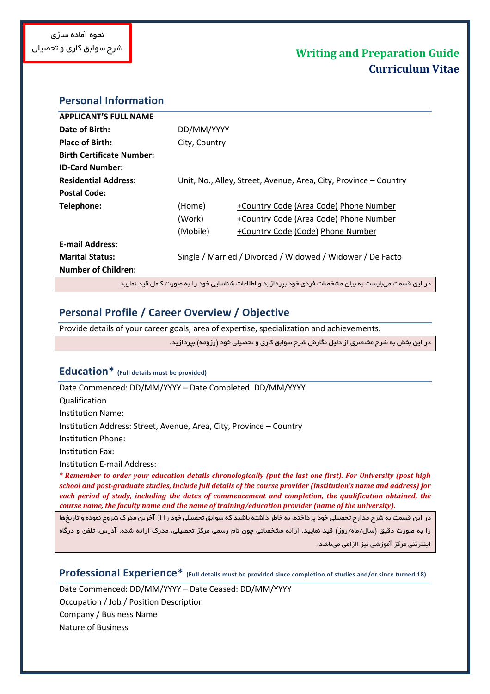## **Personal Information**

| <b>APPLICANT'S FULL NAME</b>                                                                           |               |                                                                  |  |
|--------------------------------------------------------------------------------------------------------|---------------|------------------------------------------------------------------|--|
| Date of Birth:                                                                                         | DD/MM/YYYY    |                                                                  |  |
| <b>Place of Birth:</b>                                                                                 | City, Country |                                                                  |  |
| <b>Birth Certificate Number:</b>                                                                       |               |                                                                  |  |
| <b>ID-Card Number:</b>                                                                                 |               |                                                                  |  |
| <b>Residential Address:</b>                                                                            |               | Unit, No., Alley, Street, Avenue, Area, City, Province - Country |  |
| <b>Postal Code:</b>                                                                                    |               |                                                                  |  |
| Telephone:                                                                                             | (Home)        | +Country Code (Area Code) Phone Number                           |  |
|                                                                                                        | (Work)        | +Country Code (Area Code) Phone Number                           |  |
|                                                                                                        | (Mobile)      | +Country Code (Code) Phone Number                                |  |
| <b>E-mail Address:</b>                                                                                 |               |                                                                  |  |
| <b>Marital Status:</b>                                                                                 |               | Single / Married / Divorced / Widowed / Widower / De Facto       |  |
| <b>Number of Children:</b>                                                                             |               |                                                                  |  |
| در این قسمت میبایست به بیان مشخصات فردی خود بیردارید و اطلاعات شناسایی خود را به صورت کامل قید نمایید. |               |                                                                  |  |

## **Personal Profile / Career Overview / Objective**

Provide details of your career goals, area of expertise, specialization and achievements.

در این بخش به شرح مختصری از دلیل نگارش شرح سوابق کاری و تحصیلی خود (رزومه) بپردازید.

### **Education\* (Full details must be provided)**

Date Commenced: DD/MM/YYYY – Date Completed: DD/MM/YYYY Qualification Institution Name: Institution Address: Street, Avenue, Area, City, Province – Country Institution Phone: Institution Fax: Institution E-mail Address:

*\* Remember to order your education details chronologically (put the last one first). For University (post high school and post-graduate studies, include full details of the course provider (institution's name and address) for each period of study, including the dates of commencement and completion, the qualification obtained, the course name, the faculty name and the name of training/education provider (name of the university).*

در این قسمت به شرح مدارج تحصیلی خود پرداخته، به خاطر داشته باشید که سوابق تحصیلی خود را از آخرین مدرک شروع نموده و تاریخها را به صورت دقیق (سال/ماه/روز) قید نمایید. ارائه مشخصاتی چون نام رسمی مرکز تحصیلی، مدرک ارائه شده، آدرس، تلفن و درگاه اینترنتی مرکز آموزشی نیز الزامی میباشد.

**Professional Experience\* (Full details must be provided since completion of studies and/or since turned 18)**

Date Commenced: DD/MM/YYYY – Date Ceased: DD/MM/YYYY Occupation / Job / Position Description

Company / Business Name

Nature of Business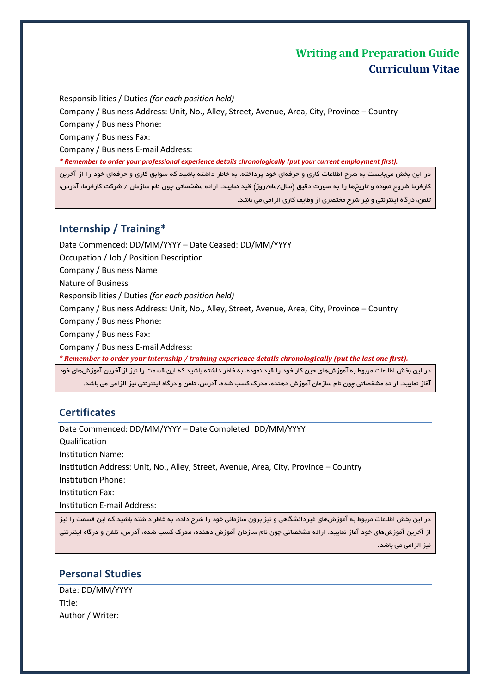Responsibilities / Duties *(for each position held)*

Company / Business Address: Unit, No., Alley, Street, Avenue, Area, City, Province – Country

Company / Business Phone:

Company / Business Fax:

Company / Business E-mail Address:

*\* Remember to order your professional experience details chronologically (put your current employment first).*

در این بخش میبایست به شرح اطلاعات کاری و حرفهای خود پرداخته، به خاطر داشته باشید که سوابق کاری و حرفهای خود را از آخرین کارفرما شروع نموده و تاریخها را به صورت دقیق (سال/ماه/روز) قید نمایید. ارائه مشخصاتی چون نام سازمان / شرکت کارفرما، آدرس، تلفن، درگاه اینترنتی و نیز شرح مختصری از وظایف کاری الزامی می باشد.

## **Internship / Training\***

Date Commenced: DD/MM/YYYY – Date Ceased: DD/MM/YYYY Occupation / Job / Position Description Company / Business Name Nature of Business Responsibilities / Duties *(for each position held)* Company / Business Address: Unit, No., Alley, Street, Avenue, Area, City, Province – Country Company / Business Phone: Company / Business Fax: Company / Business E-mail Address: *\* Remember to order your internship / training experience details chronologically (put the last one first).* در این بخش اطلاعات مربوط به آموزشهای حین کار خود را قید نموده، به خاطر داشته باشید که این قسمت را نیز از آخرین آموزشهای خود

آغاز نمایید. ارائه مشخصاتی چون نام سازمان آموزش دهنده، مدرک کسب شده، آدرس، تلفن و درگاه اینترنتی نیز الزامی می باشد.

# **Certificates**

Date Commenced: DD/MM/YYYY – Date Completed: DD/MM/YYYY Qualification Institution Name: Institution Address: Unit, No., Alley, Street, Avenue, Area, City, Province – Country Institution Phone: Institution Fax: Institution E-mail Address:

در این بخش اطلاعات مربوط به آموزشهای غیردانشگاهی و نیز برون سازمانی خود را شرح داده، به خاطر داشته باشید که این قسمت را نیز از آخرین آموزشهای خود آغاز نمایید. ارائه مشخصاتی چون نام سازمان آموزش دهنده، مدرک کسب شده، آدرس، تلفن و درگاه اینترنتی نیز الزامی می باشد.

# **Personal Studies**

Date: DD/MM/YYYY Title: Author / Writer: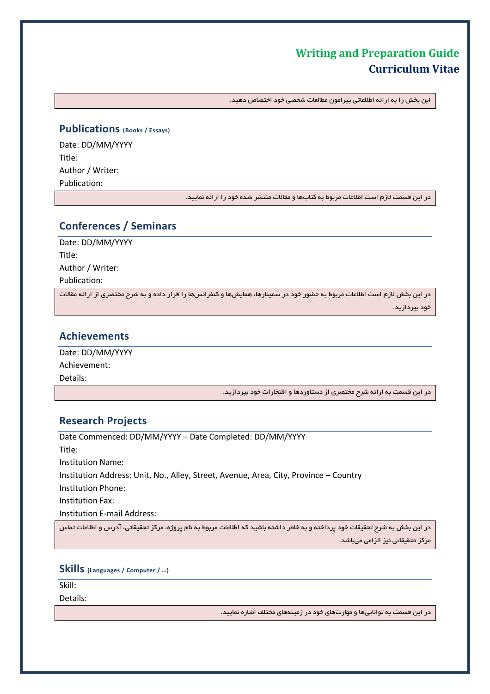این بخش را به ارائه اطلاعاتی پیرامون مطالعات شخصی خود اختصاص دهید.

#### **Publications (Books / Essays)**

Date: DD/MM/YYYY Title: Author / Writer: Publication:

در این قسمت لازم است اطلاعات مربوط به کتابها و مقالات منتشر شده خود را ارائه نمایید.

## **Conferences / Seminars**

Date: DD/MM/YYYY Title: Author / Writer: Publication:

در این بخش لازم است اطلاعات مربوط به حضور خود در سمینارها، همایشها و کنفرانسها را قرار داده و به شرح مختصری از ارائه مقالات خود بپردازید.

### **Achievements**

Date: DD/MM/YYYY Achievement: Details:

در این قسمت به ارائه شرح مختصری از دستاوردها و افتخارات خود بپردازید.

## **Research Projects**

Date Commenced: DD/MM/YYYY – Date Completed: DD/MM/YYYY Title: Institution Name: Institution Address: Unit, No., Alley, Street, Avenue, Area, City, Province – Country Institution Phone: Institution Fax: Institution E-mail Address:

در این بخش به شرح تحقیقات خود پرداخته و به خاطر داشته باشید که اطلاعات مربوط به نام پروژه، مرکز تحقیقاتی، آدرس و اطلاعات تماس مرکز تحقیقاتی نیز الزامی میباشد.

### **Skills (Languages / Computer / …)**

Skill:

Details:

در این قسمت به تواناییها و مهارتهای خود در زمینههای مختلف اشاره نمایید.